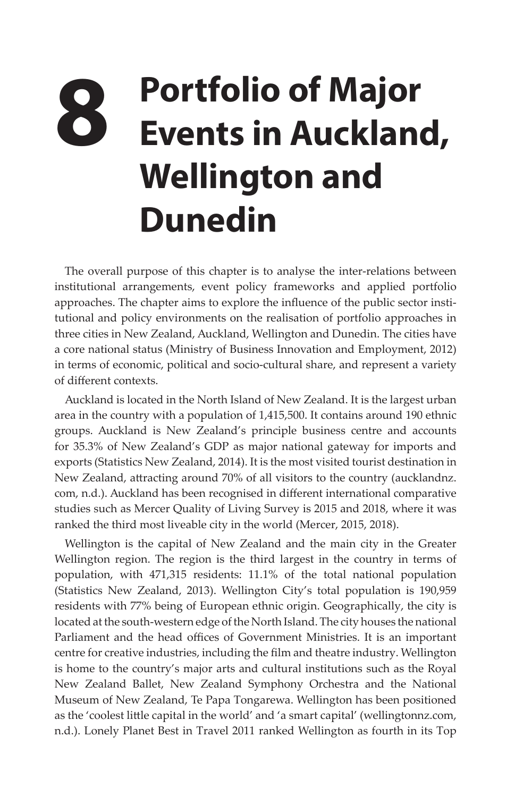## **8 Portfolio of Major Events in Auckland, Wellington and Dunedin**

The overall purpose of this chapter is to analyse the inter-relations between institutional arrangements, event policy frameworks and applied portfolio approaches. The chapter aims to explore the influence of the public sector institutional and policy environments on the realisation of portfolio approaches in three cities in New Zealand, Auckland, Wellington and Dunedin. The cities have a core national status (Ministry of Business Innovation and Employment, 2012) in terms of economic, political and socio-cultural share, and represent a variety of different contexts.

Auckland is located in the North Island of New Zealand. It is the largest urban area in the country with a population of 1,415,500. It contains around 190 ethnic groups. Auckland is New Zealand's principle business centre and accounts for 35.3% of New Zealand's GDP as major national gateway for imports and exports (Statistics New Zealand, 2014). It is the most visited tourist destination in New Zealand, attracting around 70% of all visitors to the country (aucklandnz. com, n.d.). Auckland has been recognised in different international comparative studies such as Mercer Quality of Living Survey is 2015 and 2018, where it was ranked the third most liveable city in the world (Mercer, 2015, 2018).

Wellington is the capital of New Zealand and the main city in the Greater Wellington region. The region is the third largest in the country in terms of population, with 471,315 residents: 11.1% of the total national population (Statistics New Zealand, 2013). Wellington City's total population is 190,959 residents with 77% being of European ethnic origin. Geographically, the city is located at the south-western edge of the North Island. The city houses the national Parliament and the head offices of Government Ministries. It is an important centre for creative industries, including the film and theatre industry. Wellington is home to the country's major arts and cultural institutions such as the [Royal](http://www.nzballet.org.nz/)  [New Zealand Ballet](http://www.nzballet.org.nz/), [New Zealand Symphony Orchestra](http://www.nzso.co.nz/) and the [National](http://www.wellingtonnz.com/discover/things-to-do/sights-activities/museum-of-new-zealand-te-papa-tongarewa/)  [Museum of New Zealand, Te Papa Tongarewa.](http://www.wellingtonnz.com/discover/things-to-do/sights-activities/museum-of-new-zealand-te-papa-tongarewa/) Wellington has been positioned as the 'coolest little capital in the world' and 'a smart capital' (wellingtonnz.com, n.d.). Lonely Planet Best in Travel 2011 ranked Wellington as fourth in its Top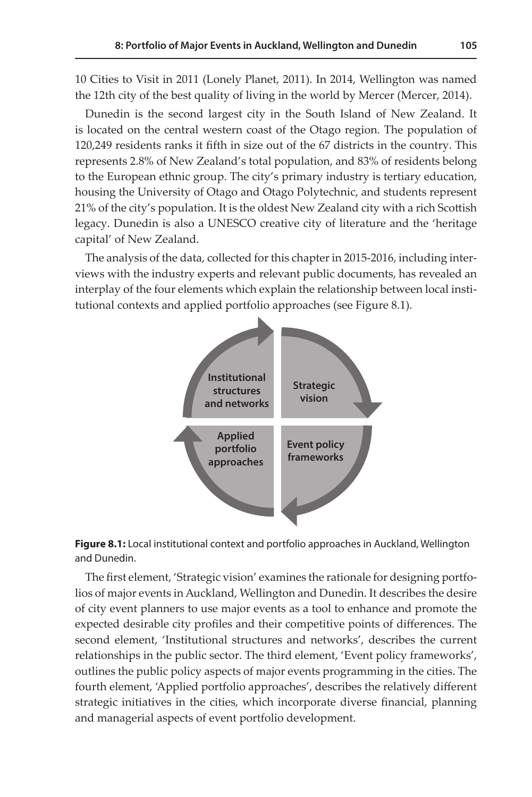10 Cities to Visit in 2011 (Lonely Planet, 2011). In 2014, Wellington was named the 12th city of the best quality of living in the world by Mercer (Mercer, 2014).

Dunedin is the second largest city in the South Island of New Zealand. It is located on the central western coast of the Otago region. The population of 120,249 residents ranks it fifth in size out of the 67 districts in the country. This represents 2.8% of New Zealand's total population, and 83% of residents belong to the European ethnic group. The city's primary industry is tertiary education, housing the University of Otago and Otago Polytechnic, and students represent 21% of the city's population. It is the oldest New Zealand city with a rich Scottish legacy. Dunedin is also a UNESCO creative city of literature and the 'heritage capital' of New Zealand.

The analysis of the data, collected for this chapter in 2015-2016, including interviews with the industry experts and relevant public documents, has revealed an **1: Basic Concepts and Definitions 105** interplay of the four elements which explain the relationship between local institutional contexts and applied portfolio approaches (see Figure 8.1).





The first element, 'Strategic vision' examines the rationale for designing portfolios of major events in Auckland, Wellington and Dunedin. It describes the desire of city event planners to use major events as a tool to enhance and promote the expected desirable city profiles and their competitive points of differences. The second element, 'Institutional structures and networks', describes the current relationships in the public sector. The third element, 'Event policy frameworks', outlines the public policy aspects of major events programming in the cities. The fourth element, 'Applied portfolio approaches', describes the relatively different strategic initiatives in the cities, which incorporate diverse financial, planning and managerial aspects of event portfolio development.